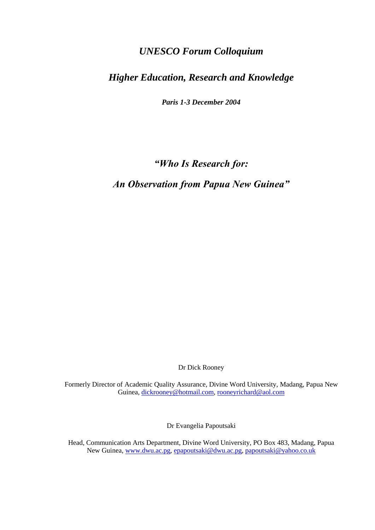# *UNESCO Forum Colloquium*

# *Higher Education, Research and Knowledge*

*Paris 1-3 December 2004*

*"Who Is Research for:* 

*An Observation from Papua New Guinea"*

Dr Dick Rooney

Formerly Director of Academic Quality Assurance, Divine Word University, Madang, Papua New Guinea, [dickrooney@hotmail.com,](mailto:dickrooney@hotmail.com) [rooneyrichard@aol.com](mailto:rooneyrichard@aol.com)

Dr Evangelia Papoutsaki

Head, Communication Arts Department, Divine Word University, PO Box 483, Madang, Papua New Guinea, [www.dwu.ac.pg,](http://www.dwu.ac.pg/) [epapoutsaki@dwu.ac.pg,](mailto:epapoutsaki@dwu.ac.pg) [papoutsaki@yahoo.co.uk](mailto:papoutsaki@yahoo.co.uk)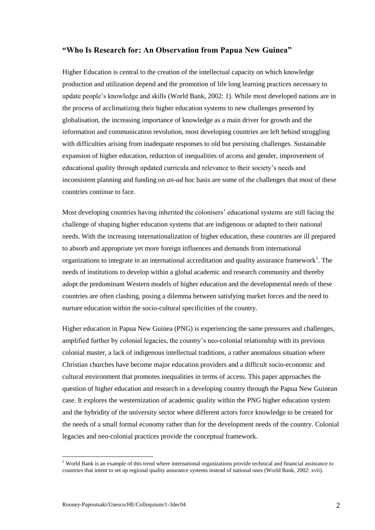## **"Who Is Research for: An Observation from Papua New Guinea"**

Higher Education is central to the creation of the intellectual capacity on which knowledge production and utilization depend and the promotion of life long learning practices necessary to update people"s knowledge and skills (World Bank, 2002: 1). While most developed nations are in the process of acclimatizing their higher education systems to new challenges presented by globalisation, the increasing importance of knowledge as a main driver for growth and the information and communication revolution, most developing countries are left behind struggling with difficulties arising from inadequate responses to old but persisting challenges. Sustainable expansion of higher education, reduction of inequalities of access and gender, improvement of educational quality through updated curricula and relevance to their society"s needs and inconsistent planning and funding on *an-ad* hoc basis are some of the challenges that most of these countries continue to face.

Most developing countries having inherited the colonisers" educational systems are still facing the challenge of shaping higher education systems that are indigenous or adapted to their national needs. With the increasing internationalization of higher education, these countries are ill prepared to absorb and appropriate yet more foreign influences and demands from international organizations to integrate in an international accreditation and quality assurance framework<sup>1</sup>. The needs of institutions to develop within a global academic and research community and thereby adopt the predominant Western models of higher education and the developmental needs of these countries are often clashing, posing a dilemma between satisfying market forces and the need to nurture education within the socio-cultural specificities of the country.

Higher education in Papua New Guinea (PNG) is experiencing the same pressures and challenges, amplified further by colonial legacies, the country"s neo-colonial relationship with its previous colonial master, a lack of indigenous intellectual traditions, a rather anomalous situation where Christian churches have become major education providers and a difficult socio-economic and cultural environment that promotes inequalities in terms of access. This paper approaches the question of higher education and research in a developing country through the Papua New Guinean case. It explores the westernization of academic quality within the PNG higher education system and the hybridity of the university sector where different actors force knowledge to be created for the needs of a small formal economy rather than for the development needs of the country. Colonial legacies and neo-colonial practices provide the conceptual framework.

1

<sup>&</sup>lt;sup>1</sup> World Bank is an example of this trend where international organizations provide technical and financial assistance to countries that intent to set up regional quality assurance systems instead of national ones (World Bank, 2002: xvii).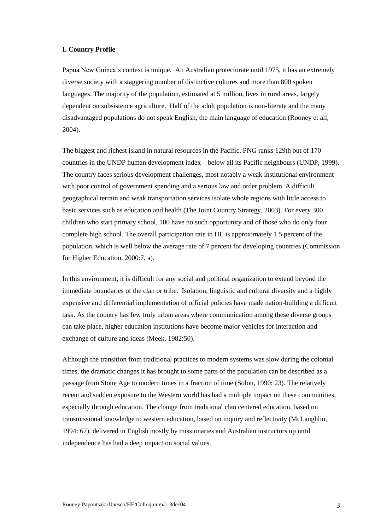### **I. Country Profile**

Papua New Guinea's context is unique. An Australian protectorate until 1975, it has an extremely diverse society with a staggering number of distinctive cultures and more than 800 spoken languages. The majority of the population, estimated at 5 million, lives in rural areas, largely dependent on subsistence agriculture. Half of the adult population is non-literate and the many disadvantaged populations do not speak English, the main language of education (Rooney et all, 2004).

The biggest and richest island in natural resources in the Pacific, PNG ranks 129th out of 170 countries in the UNDP human development index – below all its Pacific neighbours (UNDP, 1999). The country faces serious development challenges, most notably a weak institutional environment with poor control of government spending and a serious law and order problem. A difficult geographical terrain and weak transportation services isolate whole regions with little access to basic services such as education and health (The Joint Country Strategy, 2003). For every 300 children who start primary school, 100 have no such opportunity and of those who do only four complete high school. The overall participation rate in HE is approximately 1.5 percent of the population, which is well below the average rate of 7 percent for developing countries (Commission for Higher Education, 2000:7, a).

In this environment, it is difficult for any social and political organization to extend beyond the immediate boundaries of the clan or tribe. Isolation, linguistic and cultural diversity and a highly expensive and differential implementation of official policies have made nation-building a difficult task. As the country has few truly urban areas where communication among these diverse groups can take place, higher education institutions have become major vehicles for interaction and exchange of culture and ideas (Meek, 1982:50).

Although the transition from traditional practices to modern systems was slow during the colonial times, the dramatic changes it has brought to some parts of the population can be described as a passage from Stone Age to modern times in a fraction of time (Solon, 1990: 23). The relatively recent and sudden exposure to the Western world has had a multiple impact on these communities, especially through education. The change from traditional clan centered education, based on transmissional knowledge to western education, based on inquiry and reflectivity (McLaughlin, 1994: 67), delivered in English mostly by missionaries and Australian instructors up until independence has had a deep impact on social values.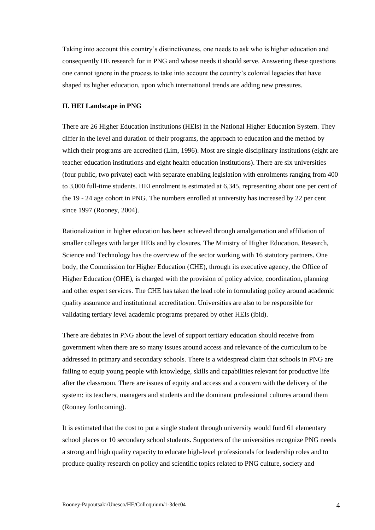Taking into account this country"s distinctiveness, one needs to ask who is higher education and consequently HE research for in PNG and whose needs it should serve. Answering these questions one cannot ignore in the process to take into account the country"s colonial legacies that have shaped its higher education, upon which international trends are adding new pressures.

#### **II. HEI Landscape in PNG**

There are 26 Higher Education Institutions (HEIs) in the National Higher Education System. They differ in the level and duration of their programs, the approach to education and the method by which their programs are accredited (Lim, 1996). Most are single disciplinary institutions (eight are teacher education institutions and eight health education institutions). There are six universities (four public, two private) each with separate enabling legislation with enrolments ranging from 400 to 3,000 full-time students. HEI enrolment is estimated at 6,345, representing about one per cent of the 19 - 24 age cohort in PNG. The numbers enrolled at university has increased by 22 per cent since 1997 (Rooney, 2004).

Rationalization in higher education has been achieved through amalgamation and affiliation of smaller colleges with larger HEIs and by closures. The Ministry of Higher Education, Research, Science and Technology has the overview of the sector working with 16 statutory partners. One body, the Commission for Higher Education (CHE), through its executive agency, the Office of Higher Education (OHE), is charged with the provision of policy advice, coordination, planning and other expert services. The CHE has taken the lead role in formulating policy around academic quality assurance and institutional accreditation. Universities are also to be responsible for validating tertiary level academic programs prepared by other HEIs (ibid).

There are debates in PNG about the level of support tertiary education should receive from government when there are so many issues around access and relevance of the curriculum to be addressed in primary and secondary schools. There is a widespread claim that schools in PNG are failing to equip young people with knowledge, skills and capabilities relevant for productive life after the classroom. There are issues of equity and access and a concern with the delivery of the system: its teachers, managers and students and the dominant professional cultures around them (Rooney forthcoming).

It is estimated that the cost to put a single student through university would fund 61 elementary school places or 10 secondary school students. Supporters of the universities recognize PNG needs a strong and high quality capacity to educate high-level professionals for leadership roles and to produce quality research on policy and scientific topics related to PNG culture, society and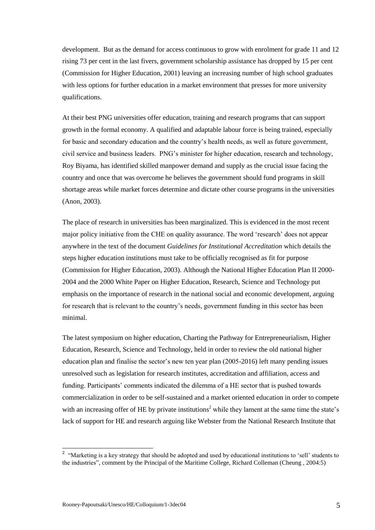development. But as the demand for access continuous to grow with enrolment for grade 11 and 12 rising 73 per cent in the last fivers, government scholarship assistance has dropped by 15 per cent (Commission for Higher Education, 2001) leaving an increasing number of high school graduates with less options for further education in a market environment that presses for more university qualifications.

At their best PNG universities offer education, training and research programs that can support growth in the formal economy. A qualified and adaptable labour force is being trained, especially for basic and secondary education and the country"s health needs, as well as future government, civil service and business leaders. PNG"s minister for higher education, research and technology, Roy Biyama, has identified skilled manpower demand and supply as the crucial issue facing the country and once that was overcome he believes the government should fund programs in skill shortage areas while market forces determine and dictate other course programs in the universities (Anon, 2003).

The place of research in universities has been marginalized. This is evidenced in the most recent major policy initiative from the CHE on quality assurance. The word "research" does not appear anywhere in the text of the document *Guidelines for Institutional Accreditation* which details the steps higher education institutions must take to be officially recognised as fit for purpose (Commission for Higher Education, 2003). Although the National Higher Education Plan II 2000- 2004 and the 2000 White Paper on Higher Education, Research, Science and Technology put emphasis on the importance of research in the national social and economic development, arguing for research that is relevant to the country"s needs, government funding in this sector has been minimal.

The latest symposium on higher education, Charting the Pathway for Entrepreneurialism, Higher Education, Research, Science and Technology, held in order to review the old national higher education plan and finalise the sector"s new ten year plan (2005-2016) left many pending issues unresolved such as legislation for research institutes, accreditation and affiliation, access and funding. Participants' comments indicated the dilemma of a HE sector that is pushed towards commercialization in order to be self-sustained and a market oriented education in order to compete with an increasing offer of HE by private institutions<sup>2</sup> while they lament at the same time the state's lack of support for HE and research arguing like Webster from the National Research Institute that

1

<sup>&</sup>lt;sup>2</sup> "Marketing is a key strategy that should be adopted and used by educational institutions to 'sell' students to the industries", comment by the Principal of the Maritime College, Richard Colleman (Cheung , 2004:5)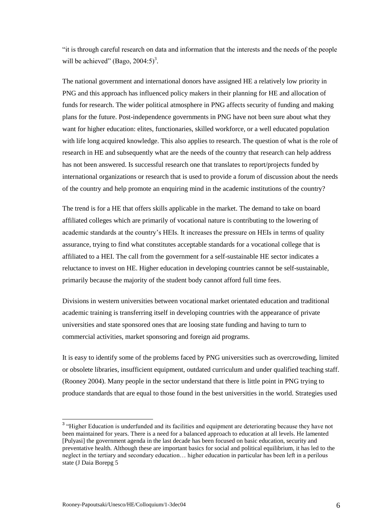"it is through careful research on data and information that the interests and the needs of the people will be achieved" (Bago,  $2004:5$ )<sup>3</sup>.

The national government and international donors have assigned HE a relatively low priority in PNG and this approach has influenced policy makers in their planning for HE and allocation of funds for research. The wider political atmosphere in PNG affects security of funding and making plans for the future. Post-independence governments in PNG have not been sure about what they want for higher education: elites, functionaries, skilled workforce, or a well educated population with life long acquired knowledge. This also applies to research. The question of what is the role of research in HE and subsequently what are the needs of the country that research can help address has not been answered. Is successful research one that translates to report/projects funded by international organizations or research that is used to provide a forum of discussion about the needs of the country and help promote an enquiring mind in the academic institutions of the country?

The trend is for a HE that offers skills applicable in the market. The demand to take on board affiliated colleges which are primarily of vocational nature is contributing to the lowering of academic standards at the country"s HEIs. It increases the pressure on HEIs in terms of quality assurance, trying to find what constitutes acceptable standards for a vocational college that is affiliated to a HEI. The call from the government for a self-sustainable HE sector indicates a reluctance to invest on HE. Higher education in developing countries cannot be self-sustainable, primarily because the majority of the student body cannot afford full time fees.

Divisions in western universities between vocational market orientated education and traditional academic training is transferring itself in developing countries with the appearance of private universities and state sponsored ones that are loosing state funding and having to turn to commercial activities, market sponsoring and foreign aid programs.

It is easy to identify some of the problems faced by PNG universities such as overcrowding, limited or obsolete libraries, insufficient equipment, outdated curriculum and under qualified teaching staff. (Rooney 2004). Many people in the sector understand that there is little point in PNG trying to produce standards that are equal to those found in the best universities in the world. Strategies used

1

<sup>&</sup>lt;sup>3</sup> "Higher Education is underfunded and its facilities and equipment are deteriorating because they have not been maintained for years. There is a need for a balanced approach to education at all levels. He lamented [Pulyasi] the government agenda in the last decade has been focused on basic education, security and preventative health. Although these are important basics for social and political equilibrium, it has led to the neglect in the tertiary and secondary education… higher education in particular has been left in a perilous state (J Daia Borepg 5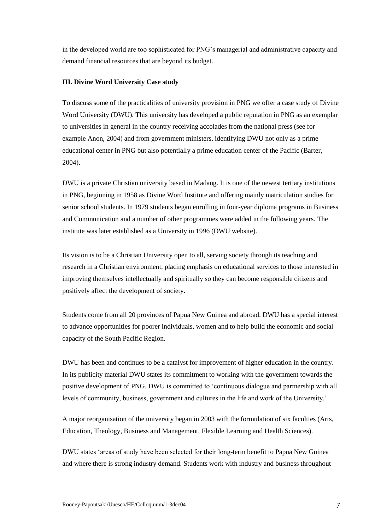in the developed world are too sophisticated for PNG"s managerial and administrative capacity and demand financial resources that are beyond its budget.

### **III. Divine Word University Case study**

To discuss some of the practicalities of university provision in PNG we offer a case study of Divine Word University (DWU). This university has developed a public reputation in PNG as an exemplar to universities in general in the country receiving accolades from the national press (see for example Anon, 2004) and from government ministers, identifying DWU not only as a prime educational center in PNG but also potentially a prime education center of the Pacific (Barter, 2004).

DWU is a private Christian university based in Madang. It is one of the newest tertiary institutions in PNG, beginning in 1958 as Divine Word Institute and offering mainly matriculation studies for senior school students. In 1979 students began enrolling in four-year diploma programs in Business and Communication and a number of other programmes were added in the following years. The institute was later established as a University in 1996 (DWU website).

Its vision is to be a Christian University open to all, serving society through its teaching and research in a Christian environment, placing emphasis on educational services to those interested in improving themselves intellectually and spiritually so they can become responsible citizens and positively affect the development of society.

Students come from all 20 provinces of Papua New Guinea and abroad. DWU has a special interest to advance opportunities for poorer individuals, women and to help build the economic and social capacity of the South Pacific Region.

DWU has been and continues to be a catalyst for improvement of higher education in the country. In its publicity material DWU states its commitment to working with the government towards the positive development of PNG. DWU is committed to "continuous dialogue and partnership with all levels of community, business, government and cultures in the life and work of the University.'

A major reorganisation of the university began in 2003 with the formulation of six faculties (Arts, Education, Theology, Business and Management, Flexible Learning and Health Sciences).

DWU states "areas of study have been selected for their long-term benefit to Papua New Guinea and where there is strong industry demand. Students work with industry and business throughout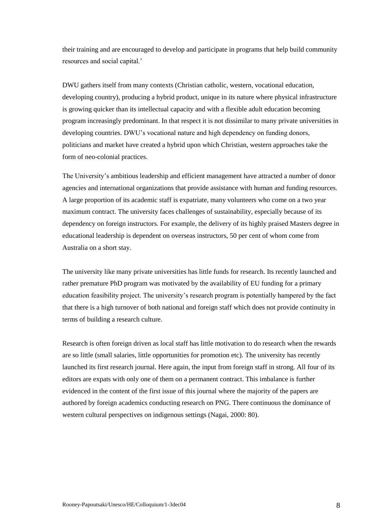their training and are encouraged to develop and participate in programs that help build community resources and social capital."

DWU gathers itself from many contexts (Christian catholic, western, vocational education, developing country), producing a hybrid product, unique in its nature where physical infrastructure is growing quicker than its intellectual capacity and with a flexible adult education becoming program increasingly predominant. In that respect it is not dissimilar to many private universities in developing countries. DWU"s vocational nature and high dependency on funding donors, politicians and market have created a hybrid upon which Christian, western approaches take the form of neo-colonial practices.

The University"s ambitious leadership and efficient management have attracted a number of donor agencies and international organizations that provide assistance with human and funding resources. A large proportion of its academic staff is expatriate, many volunteers who come on a two year maximum contract. The university faces challenges of sustainability, especially because of its dependency on foreign instructors. For example, the delivery of its highly praised Masters degree in educational leadership is dependent on overseas instructors, 50 per cent of whom come from Australia on a short stay.

The university like many private universities has little funds for research. Its recently launched and rather premature PhD program was motivated by the availability of EU funding for a primary education feasibility project. The university"s research program is potentially hampered by the fact that there is a high turnover of both national and foreign staff which does not provide continuity in terms of building a research culture.

Research is often foreign driven as local staff has little motivation to do research when the rewards are so little (small salaries, little opportunities for promotion etc). The university has recently launched its first research journal. Here again, the input from foreign staff in strong. All four of its editors are expats with only one of them on a permanent contract. This imbalance is further evidenced in the content of the first issue of this journal where the majority of the papers are authored by foreign academics conducting research on PNG. There continuous the dominance of western cultural perspectives on indigenous settings (Nagai, 2000: 80).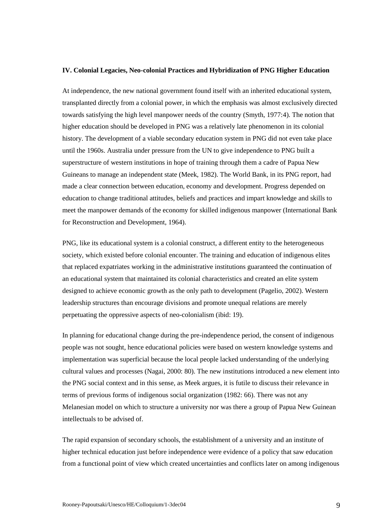#### **IV. Colonial Legacies, Neo-colonial Practices and Hybridization of PNG Higher Education**

At independence, the new national government found itself with an inherited educational system, transplanted directly from a colonial power, in which the emphasis was almost exclusively directed towards satisfying the high level manpower needs of the country (Smyth, 1977:4). The notion that higher education should be developed in PNG was a relatively late phenomenon in its colonial history. The development of a viable secondary education system in PNG did not even take place until the 1960s. Australia under pressure from the UN to give independence to PNG built a superstructure of western institutions in hope of training through them a cadre of Papua New Guineans to manage an independent state (Meek, 1982). The World Bank, in its PNG report, had made a clear connection between education, economy and development. Progress depended on education to change traditional attitudes, beliefs and practices and impart knowledge and skills to meet the manpower demands of the economy for skilled indigenous manpower (International Bank for Reconstruction and Development, 1964).

PNG, like its educational system is a colonial construct, a different entity to the heterogeneous society, which existed before colonial encounter. The training and education of indigenous elites that replaced expatriates working in the administrative institutions guaranteed the continuation of an educational system that maintained its colonial characteristics and created an elite system designed to achieve economic growth as the only path to development (Pagelio, 2002). Western leadership structures than encourage divisions and promote unequal relations are merely perpetuating the oppressive aspects of neo-colonialism (ibid: 19).

In planning for educational change during the pre-independence period, the consent of indigenous people was not sought, hence educational policies were based on western knowledge systems and implementation was superficial because the local people lacked understanding of the underlying cultural values and processes (Nagai, 2000: 80). The new institutions introduced a new element into the PNG social context and in this sense, as Meek argues, it is futile to discuss their relevance in terms of previous forms of indigenous social organization (1982: 66). There was not any Melanesian model on which to structure a university nor was there a group of Papua New Guinean intellectuals to be advised of.

The rapid expansion of secondary schools, the establishment of a university and an institute of higher technical education just before independence were evidence of a policy that saw education from a functional point of view which created uncertainties and conflicts later on among indigenous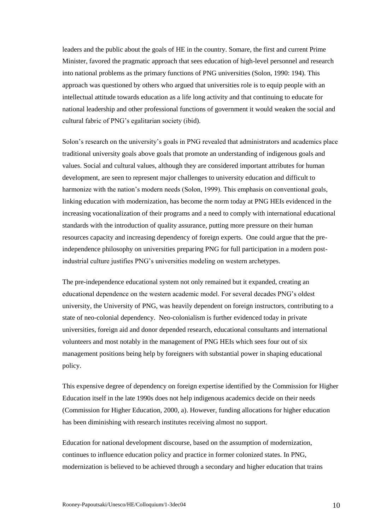leaders and the public about the goals of HE in the country. Somare, the first and current Prime Minister, favored the pragmatic approach that sees education of high-level personnel and research into national problems as the primary functions of PNG universities (Solon, 1990: 194). This approach was questioned by others who argued that universities role is to equip people with an intellectual attitude towards education as a life long activity and that continuing to educate for national leadership and other professional functions of government it would weaken the social and cultural fabric of PNG"s egalitarian society (ibid).

Solon"s research on the university"s goals in PNG revealed that administrators and academics place traditional university goals above goals that promote an understanding of indigenous goals and values. Social and cultural values, although they are considered important attributes for human development, are seen to represent major challenges to university education and difficult to harmonize with the nation's modern needs (Solon, 1999). This emphasis on conventional goals, linking education with modernization, has become the norm today at PNG HEIs evidenced in the increasing vocationalization of their programs and a need to comply with international educational standards with the introduction of quality assurance, putting more pressure on their human resources capacity and increasing dependency of foreign experts. One could argue that the preindependence philosophy on universities preparing PNG for full participation in a modern postindustrial culture justifies PNG"s universities modeling on western archetypes.

The pre-independence educational system not only remained but it expanded, creating an educational dependence on the western academic model. For several decades PNG"s oldest university, the University of PNG, was heavily dependent on foreign instructors, contributing to a state of neo-colonial dependency. Neo-colonialism is further evidenced today in private universities, foreign aid and donor depended research, educational consultants and international volunteers and most notably in the management of PNG HEIs which sees four out of six management positions being help by foreigners with substantial power in shaping educational policy.

This expensive degree of dependency on foreign expertise identified by the Commission for Higher Education itself in the late 1990s does not help indigenous academics decide on their needs (Commission for Higher Education, 2000, a). However, funding allocations for higher education has been diminishing with research institutes receiving almost no support.

Education for national development discourse, based on the assumption of modernization, continues to influence education policy and practice in former colonized states. In PNG, modernization is believed to be achieved through a secondary and higher education that trains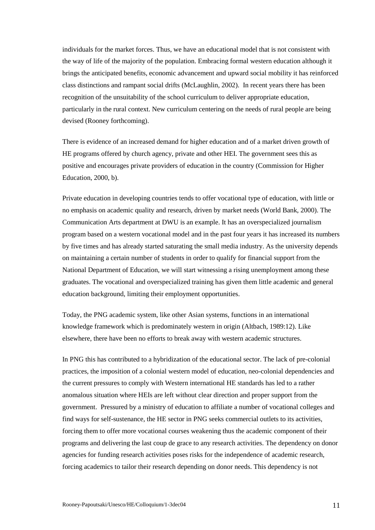individuals for the market forces. Thus, we have an educational model that is not consistent with the way of life of the majority of the population. Embracing formal western education although it brings the anticipated benefits, economic advancement and upward social mobility it has reinforced class distinctions and rampant social drifts (McLaughlin, 2002). In recent years there has been recognition of the unsuitability of the school curriculum to deliver appropriate education, particularly in the rural context. New curriculum centering on the needs of rural people are being devised (Rooney forthcoming).

There is evidence of an increased demand for higher education and of a market driven growth of HE programs offered by church agency, private and other HEI. The government sees this as positive and encourages private providers of education in the country (Commission for Higher Education, 2000, b).

Private education in developing countries tends to offer vocational type of education, with little or no emphasis on academic quality and research, driven by market needs (World Bank, 2000). The Communication Arts department at DWU is an example. It has an overspecialized journalism program based on a western vocational model and in the past four years it has increased its numbers by five times and has already started saturating the small media industry. As the university depends on maintaining a certain number of students in order to qualify for financial support from the National Department of Education, we will start witnessing a rising unemployment among these graduates. The vocational and overspecialized training has given them little academic and general education background, limiting their employment opportunities.

Today, the PNG academic system, like other Asian systems, functions in an international knowledge framework which is predominately western in origin (Altbach, 1989:12). Like elsewhere, there have been no efforts to break away with western academic structures.

In PNG this has contributed to a hybridization of the educational sector. The lack of pre-colonial practices, the imposition of a colonial western model of education, neo-colonial dependencies and the current pressures to comply with Western international HE standards has led to a rather anomalous situation where HEIs are left without clear direction and proper support from the government. Pressured by a ministry of education to affiliate a number of vocational colleges and find ways for self-sustenance, the HE sector in PNG seeks commercial outlets to its activities, forcing them to offer more vocational courses weakening thus the academic component of their programs and delivering the last coup de grace to any research activities. The dependency on donor agencies for funding research activities poses risks for the independence of academic research, forcing academics to tailor their research depending on donor needs. This dependency is not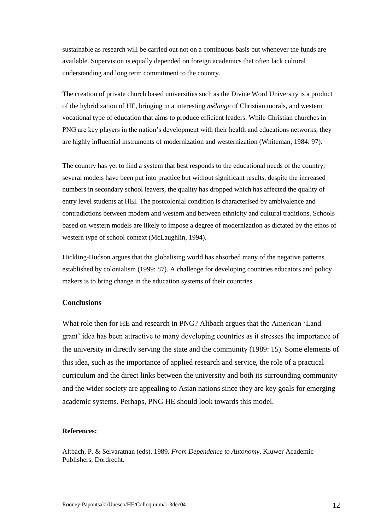sustainable as research will be carried out not on a continuous basis but whenever the funds are available. Supervision is equally depended on foreign academics that often lack cultural understanding and long term commitment to the country.

The creation of private church based universities such as the Divine Word University is a product of the hybridization of HE, bringing in a interesting *mélange* of Christian morals, and western vocational type of education that aims to produce efficient leaders. While Christian churches in PNG are key players in the nation"s development with their health and educations networks, they are highly influential instruments of modernization and westernization (Whiteman, 1984: 97).

The country has yet to find a system that best responds to the educational needs of the country, several models have been put into practice but without significant results, despite the increased numbers in secondary school leavers, the quality has dropped which has affected the quality of entry level students at HEI. The postcolonial condition is characterised by ambivalence and contradictions between modern and western and between ethnicity and cultural traditions. Schools based on western models are likely to impose a degree of modernization as dictated by the ethos of western type of school context (McLaughlin, 1994).

Hickling-Hudson argues that the globalising world has absorbed many of the negative patterns established by colonialism (1999: 87). A challenge for developing countries educators and policy makers is to bring change in the education systems of their countries.

# **Conclusions**

What role then for HE and research in PNG? Altbach argues that the American "Land grant" idea has been attractive to many developing countries as it stresses the importance of the university in directly serving the state and the community (1989: 15). Some elements of this idea, such as the importance of applied research and service, the role of a practical curriculum and the direct links between the university and both its surrounding community and the wider society are appealing to Asian nations since they are key goals for emerging academic systems. Perhaps, PNG HE should look towards this model.

## **References:**

Altbach, P. & Selvaratnan (eds). 1989. *From Dependence to Autonomy*. Kluwer Academic Publishers, Dordrecht.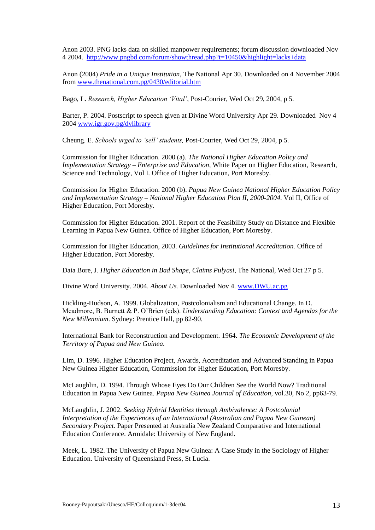Anon 2003. PNG lacks data on skilled manpower requirements; forum discussion downloaded Nov 4 2004.<http://www.pngbd.com/forum/showthread.php?t=10450&highlight=lacks+data>

Anon (2004) *Pride in a Unique Institution,* The National Apr 30. Downloaded on 4 November 2004 from [www.thenational.com.pg/0430/editorial.htm](http://www.thenational.com.pg/0430/editorial.htm)

Bago, L. *Research, Higher Education 'Vital'*, Post-Courier, Wed Oct 29, 2004, p 5.

Barter, P. 2004. Postscript to speech given at Divine Word University Apr 29. Downloaded Nov 4 2004 [www.igr.gov.pg/dylibrary](http://www.igr.gov.pg/dylibrary)

Cheung. E. *Schools urged to 'sell' students,* Post-Courier, Wed Oct 29, 2004, p 5.

Commission for Higher Education. 2000 (a). *The National Higher Education Policy and Implementation Strategy – Enterprise and Education*, White Paper on Higher Education, Research, Science and Technology, Vol I. Office of Higher Education, Port Moresby.

Commission for Higher Education. 2000 (b). *Papua New Guinea National Higher Education Policy and Implementation Strategy – National Higher Education Plan II, 2000-2004*. Vol II, Office of Higher Education, Port Moresby.

Commission for Higher Education. 2001. Report of the Feasibility Study on Distance and Flexible Learning in Papua New Guinea. Office of Higher Education, Port Moresby.

Commission for Higher Education, 2003. *Guidelines for Institutional Accreditation.* Office of Higher Education, Port Moresby.

Daia Bore, J. *Higher Education in Bad Shape, Claims Pulyasi*, The National, Wed Oct 27 p 5.

Divine Word University. 2004. *About Us.* Downloaded Nov 4. [www.DWU.ac.pg](http://www.dwu.ac.pg/)

Hickling-Hudson, A. 1999. Globalization, Postcolonialism and Educational Change. In D. Meadmore, B. Burnett & P. O"Brien (eds). *Understanding Education: Context and Agendas for the New Millennium*. Sydney: Prentice Hall, pp 82-90.

International Bank for Reconstruction and Development. 1964. *The Economic Development of the Territory of Papua and New Guinea.*

Lim, D. 1996. Higher Education Project, Awards, Accreditation and Advanced Standing in Papua New Guinea Higher Education, Commission for Higher Education, Port Moresby.

McLaughlin, D. 1994. Through Whose Eyes Do Our Children See the World Now? Traditional Education in Papua New Guinea. *Papua New Guinea Journal of Education*, vol.30, No 2, pp63-79.

McLaughlin, J. 2002. *Seeking Hybrid Identities through Ambivalence: A Postcolonial Interpretation of the Experiences of an International (Australian and Papua New Guinean) Secondary Project*. Paper Presented at Australia New Zealand Comparative and International Education Conference. Armidale: University of New England.

Meek, L. 1982. The University of Papua New Guinea: A Case Study in the Sociology of Higher Education. University of Queensland Press, St Lucia.